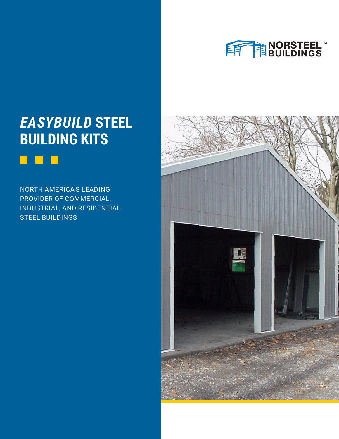

### *EASYBUILD* **STEEL BUILDING KITS**

#### n l

NORTH AMERICA'S LEADING PROVIDER OF COMMERCIAL, INDUSTRIAL, AND RESIDENTIAL STEEL BUILDINGS

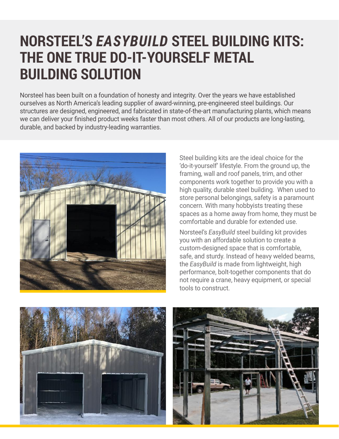## **NORSTEEL'S** *EASYBUILD* **STEEL BUILDING KITS: THE ONE TRUE DO-IT-YOURSELF METAL BUILDING SOLUTION**

Norsteel has been built on a foundation of honesty and integrity. Over the years we have established ourselves as North America's leading supplier of award-winning, pre-engineered steel buildings. Our structures are designed, engineered, and fabricated in state-of-the-art manufacturing plants, which means we can deliver your finished product weeks faster than most others. All of our products are long-lasting, durable, and backed by industry-leading warranties.



Steel building kits are the ideal choice for the 'do-it-yourself' lifestyle. From the ground up, the framing, wall and roof panels, trim, and other components work together to provide you with a high quality, durable steel building. When used to store personal belongings, safety is a paramount concern. With many hobbyists treating these spaces as a home away from home, they must be comfortable and durable for extended use.

Norsteel's *EasyBuild* steel building kit provides you with an affordable solution to create a custom-designed space that is comfortable, safe, and sturdy. Instead of heavy welded beams, the *EasyBuild* is made from lightweight, high performance, bolt-together components that do not require a crane, heavy equipment, or special tools to construct.

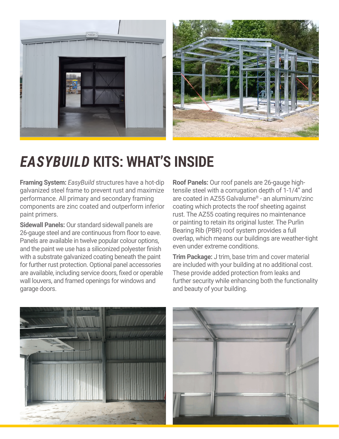

### *EASYBUILD* **KITS: WHAT'S INSIDE**

**Framing System:** *EasyBuild* structures have a hot-dip galvanized steel frame to prevent rust and maximize performance. All primary and secondary framing components are zinc coated and outperform inferior paint primers.

**Sidewall Panels:** Our standard sidewall panels are 26-gauge steel and are continuous from floor to eave. Panels are available in twelve popular colour options, and the paint we use has a siliconized polyester finish with a substrate galvanized coating beneath the paint for further rust protection. Optional panel accessories are available, including service doors, fixed or operable wall louvers, and framed openings for windows and garage doors.

**Roof Panels:** Our roof panels are 26-gauge hightensile steel with a corrugation depth of 1-1/4" and are coated in AZ55 Galvalume® - an aluminum/zinc coating which protects the roof sheeting against rust. The AZ55 coating requires no maintenance or painting to retain its original luster. The Purlin Bearing Rib (PBR) roof system provides a full overlap, which means our buildings are weather-tight even under extreme conditions.

**Trim Package:** J trim, base trim and cover material are included with your building at no additional cost. These provide added protection from leaks and further security while enhancing both the functionality and beauty of your building.

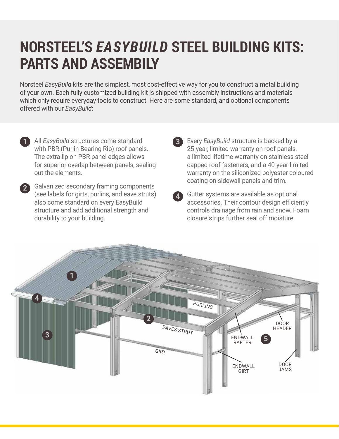### **NORSTEEL'S** *EASYBUILD* **STEEL BUILDING KITS: PARTS AND ASSEMBILY**

Norsteel *EasyBuild* kits are the simplest, most cost-effective way for you to construct a metal building of your own. Each fully customized building kit is shipped with assembly instructions and materials which only require everyday tools to construct. Here are some standard, and optional components offered with our *EasyBuild*:

- All *EasyBuild* structures come standard with PBR (Purlin Bearing Rib) roof panels. The extra lip on PBR panel edges allows for superior overlap between panels, sealing out the elements. **1**
- 2 Galvanized secondary framing components (see labels for girts, purlins, and eave struts) also come standard on every EasyBuild structure and add additional strength and durability to your building.
- 

Every *EasyBuild* structure is backed by a **3** 25-year, limited warranty on roof panels, a limited lifetime warranty on stainless steel capped roof fasteners, and a 40-year limited warranty on the siliconized polyester coloured coating on sidewall panels and trim.

Gutter systems are available as optional **4** accessories. Their contour design efficiently controls drainage from rain and snow. Foam closure strips further seal off moisture.

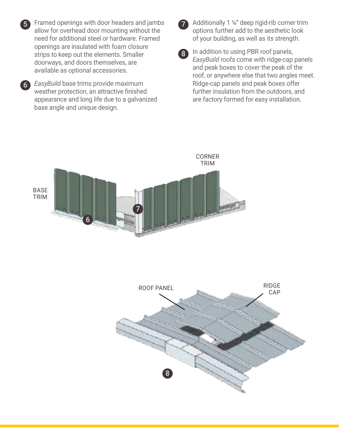Framed openings with door headers and jambs **5** allow for overhead door mounting without the need for additional steel or hardware. Framed openings are insulated with foam closure strips to keep out the elements. Smaller doorways, and doors themselves, are available as optional accessories.

*EasyBuild* base trims provide maximum **6** weather protection, an attractive finished appearance and long life due to a galvanized base angle and unique design.



 Additionally 1 ¼" deep rigid-rib corner trim options further add to the aesthetic look of your building, as well as its strength.

**8** In addition to using PBR roof panels, *EasyBuild* roofs come with ridge-cap panels and peak boxes to cover the peak of the roof, or anywhere else that two angles meet. Ridge-cap panels and peak boxes offer further insulation from the outdoors, and are factory formed for easy installation.



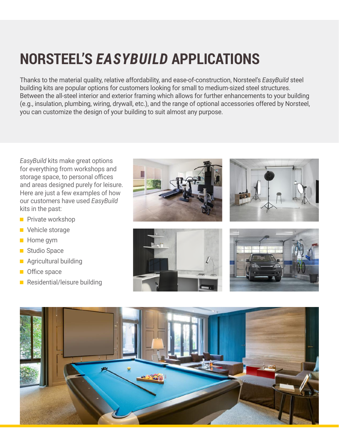# **NORSTEEL'S** *EASYBUILD* **APPLICATIONS**

Thanks to the material quality, relative affordability, and ease-of-construction, Norsteel's *EasyBuild* steel building kits are popular options for customers looking for small to medium-sized steel structures. Between the all-steel interior and exterior framing which allows for further enhancements to your building (e.g., insulation, plumbing, wiring, drywall, etc.), and the range of optional accessories offered by Norsteel, you can customize the design of your building to suit almost any purpose.

*EasyBuild* kits make great options for everything from workshops and storage space, to personal offices and areas designed purely for leisure. Here are just a few examples of how our customers have used *EasyBuild* kits in the past:

- **Private workshop**
- **Vehicle storage**
- **Home** gym
- Studio Space
- **Agricultural building**
- **Office space**
- Residential/leisure building









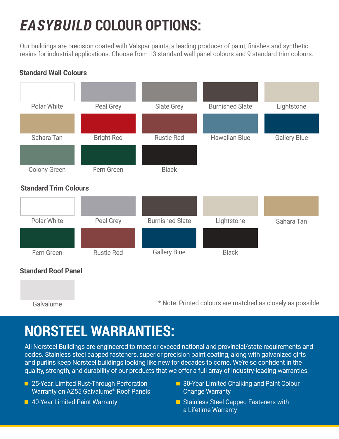# *EASYBUILD* **COLOUR OPTIONS:**

Our buildings are precision coated with Valspar paints, a leading producer of paint, finishes and synthetic resins for industrial applications. Choose from 13 standard wall panel colours and 9 standard trim colours.

# Polar White **Peal Grey** Slate Grey Burnished Slate Lightstone Sahara Tan **Bright Red** Rustic Red Rustic Red Hawaiian Blue **Gallery Blue** Gallery Blue Colony Green Fern Green Black Polar White **Peal Grey** Burnished Slate Lightstone Sahara Tan Fern Green **Standard Trim Colours Standard Roof Panel** Black

**Standard Wall Colours**

Galvalume \* Note: Printed colours are matched as closely as possible

### **NORSTEEL WARRANTIES:**

All Norsteel Buildings are engineered to meet or exceed national and provincial/state requirements and codes. Stainless steel capped fasteners, superior precision paint coating, along with galvanized girts and purlins keep Norsteel buildings looking like new for decades to come. We're so confident in the quality, strength, and durability of our products that we offer a full array of industry-leading warranties:

- **25-Year, Limited Rust-Through Perforation** Warranty on AZ55 Galvalume® Roof Panels
- **40-Year Limited Paint Warranty**
- **30-Year Limited Chalking and Paint Colour** Change Warranty
- **E** Stainless Steel Capped Fasteners with a Lifetime Warranty